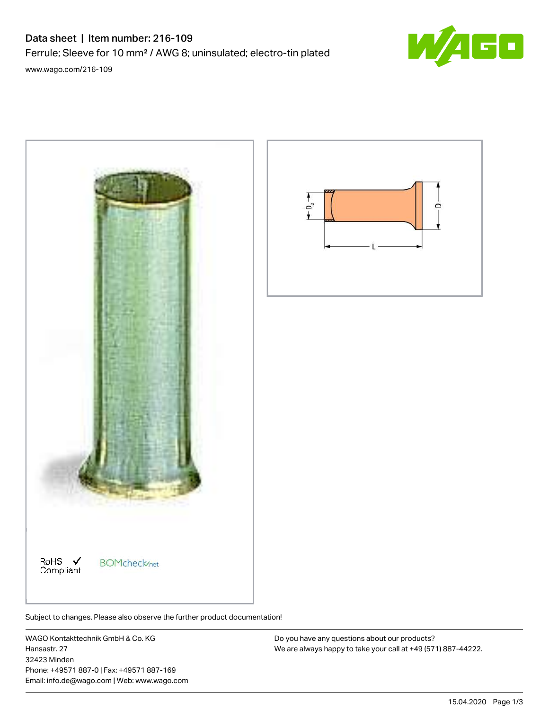## Data sheet | Item number: 216-109

Ferrule; Sleeve for 10 mm² / AWG 8; uninsulated; electro-tin plated

[www.wago.com/216-109](http://www.wago.com/216-109)



Subject to changes. Please also observe the further product documentation!

WAGO Kontakttechnik GmbH & Co. KG Hansastr. 27 32423 Minden Phone: +49571 887-0 | Fax: +49571 887-169 Email: info.de@wago.com | Web: www.wago.com

Do you have any questions about our products? We are always happy to take your call at +49 (571) 887-44222.

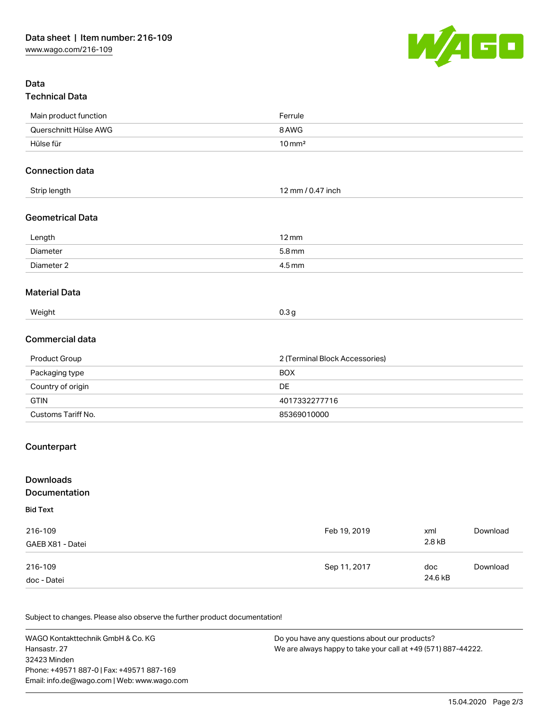

## Data Technical Data

| Main product function   | Ferrule                        |  |
|-------------------------|--------------------------------|--|
| Querschnitt Hülse AWG   | 8 AWG                          |  |
| Hülse für               | $10 \,\mathrm{mm}^2$           |  |
| <b>Connection data</b>  |                                |  |
| Strip length            | 12 mm / 0.47 inch              |  |
| <b>Geometrical Data</b> |                                |  |
| Length                  | $12 \,\mathrm{mm}$             |  |
| Diameter                | 5.8 mm                         |  |
| Diameter 2              | 4.5 mm                         |  |
| <b>Material Data</b>    |                                |  |
| Weight                  | 0.3 <sub>g</sub>               |  |
| Commercial data         |                                |  |
| Product Group           | 2 (Terminal Block Accessories) |  |
| Packaging type          | <b>BOX</b>                     |  |
| Country of origin       | <b>DE</b>                      |  |
| <b>GTIN</b>             | 4017332277716                  |  |
| Customs Tariff No.      | 85369010000                    |  |
|                         |                                |  |

## Counterpart

| <b>Downloads</b>     |              |         |          |
|----------------------|--------------|---------|----------|
| <b>Documentation</b> |              |         |          |
| <b>Bid Text</b>      |              |         |          |
| 216-109              | Feb 19, 2019 | xml     | Download |
| GAEB X81 - Datei     |              | 2.8 kB  |          |
| 216-109              | Sep 11, 2017 | doc     | Download |
| doc - Datei          |              | 24.6 kB |          |

Subject to changes. Please also observe the further product documentation!

WAGO Kontakttechnik GmbH & Co. KG Hansastr. 27 32423 Minden Phone: +49571 887-0 | Fax: +49571 887-169 Email: info.de@wago.com | Web: www.wago.com Do you have any questions about our products? We are always happy to take your call at +49 (571) 887-44222.